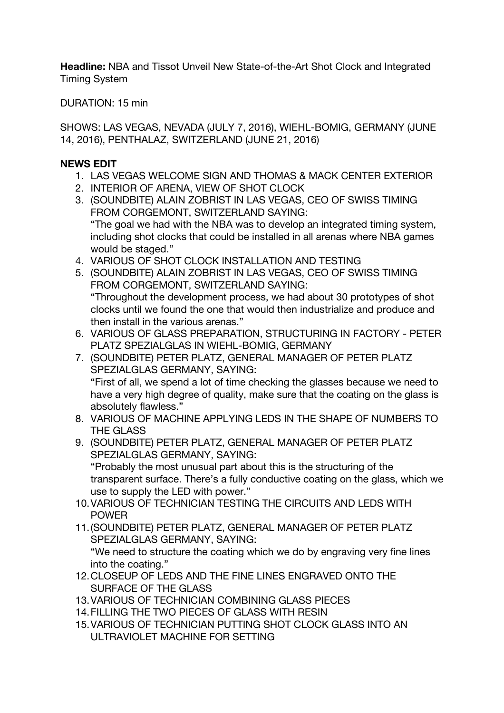**Headline:** NBA and Tissot Unveil New State-of-the-Art Shot Clock and Integrated Timing System

DURATION: 15 min

SHOWS: LAS VEGAS, NEVADA (JULY 7, 2016), WIEHL-BOMIG, GERMANY (JUNE 14, 2016), PENTHALAZ, SWITZERLAND (JUNE 21, 2016)

#### **NEWS EDIT**

- 1. LAS VEGAS WELCOME SIGN AND THOMAS & MACK CENTER EXTERIOR
- 2. INTERIOR OF ARENA, VIEW OF SHOT CLOCK
- 3. (SOUNDBITE) ALAIN ZOBRIST IN LAS VEGAS, CEO OF SWISS TIMING FROM CORGEMONT, SWITZERLAND SAYING: "The goal we had with the NBA was to develop an integrated timing system, including shot clocks that could be installed in all arenas where NBA games would be staged."
- 4. VARIOUS OF SHOT CLOCK INSTALLATION AND TESTING
- 5. (SOUNDBITE) ALAIN ZOBRIST IN LAS VEGAS, CEO OF SWISS TIMING FROM CORGEMONT, SWITZERLAND SAYING: "Throughout the development process, we had about 30 prototypes of shot clocks until we found the one that would then industrialize and produce and then install in the various arenas."
- 6. VARIOUS OF GLASS PREPARATION, STRUCTURING IN FACTORY PETER PLATZ SPEZIALGLAS IN WIEHL-BOMIG, GERMANY
- 7. (SOUNDBITE) PETER PLATZ, GENERAL MANAGER OF PETER PLATZ SPEZIALGLAS GERMANY, SAYING: "First of all, we spend a lot of time checking the glasses because we need to have a very high degree of quality, make sure that the coating on the glass is absolutely flawless."
- 8. VARIOUS OF MACHINE APPLYING LEDS IN THE SHAPE OF NUMBERS TO THE GLASS
- 9. (SOUNDBITE) PETER PLATZ, GENERAL MANAGER OF PETER PLATZ SPEZIALGLAS GERMANY, SAYING: "Probably the most unusual part about this is the structuring of the transparent surface. There's a fully conductive coating on the glass, which we use to supply the LED with power."
- 10.VARIOUS OF TECHNICIAN TESTING THE CIRCUITS AND LEDS WITH POWER
- 11.(SOUNDBITE) PETER PLATZ, GENERAL MANAGER OF PETER PLATZ SPEZIALGLAS GERMANY, SAYING: "We need to structure the coating which we do by engraving very fine lines into the coating."
- 12.CLOSEUP OF LEDS AND THE FINE LINES ENGRAVED ONTO THE SURFACE OF THE GLASS
- 13.VARIOUS OF TECHNICIAN COMBINING GLASS PIECES
- 14.FILLING THE TWO PIECES OF GLASS WITH RESIN
- 15.VARIOUS OF TECHNICIAN PUTTING SHOT CLOCK GLASS INTO AN ULTRAVIOLET MACHINE FOR SETTING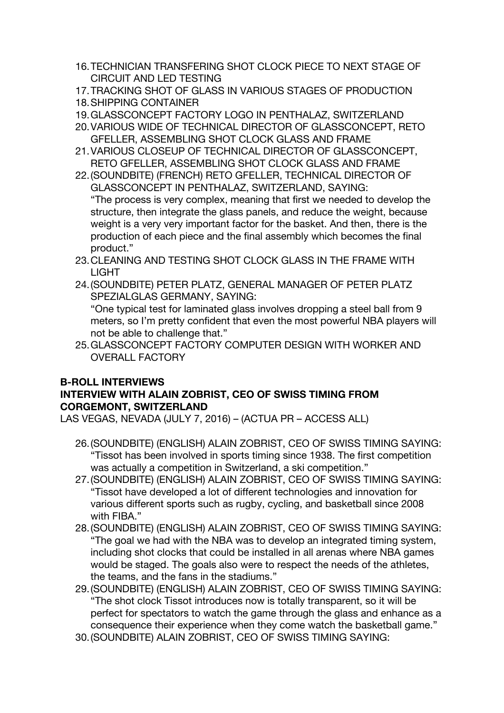- 16.TECHNICIAN TRANSFERING SHOT CLOCK PIECE TO NEXT STAGE OF CIRCUIT AND LED TESTING
- 17.TRACKING SHOT OF GLASS IN VARIOUS STAGES OF PRODUCTION
- 18.SHIPPING CONTAINER
- 19.GLASSCONCEPT FACTORY LOGO IN PENTHALAZ, SWITZERLAND
- 20.VARIOUS WIDE OF TECHNICAL DIRECTOR OF GLASSCONCEPT, RETO GFELLER, ASSEMBLING SHOT CLOCK GLASS AND FRAME
- 21.VARIOUS CLOSEUP OF TECHNICAL DIRECTOR OF GLASSCONCEPT, RETO GFELLER, ASSEMBLING SHOT CLOCK GLASS AND FRAME
- 22.(SOUNDBITE) (FRENCH) RETO GFELLER, TECHNICAL DIRECTOR OF GLASSCONCEPT IN PENTHALAZ, SWITZERLAND, SAYING: "The process is very complex, meaning that first we needed to develop the structure, then integrate the glass panels, and reduce the weight, because weight is a very very important factor for the basket. And then, there is the production of each piece and the final assembly which becomes the final product."
- 23.CLEANING AND TESTING SHOT CLOCK GLASS IN THE FRAME WITH LIGHT
- 24.(SOUNDBITE) PETER PLATZ, GENERAL MANAGER OF PETER PLATZ SPEZIALGLAS GERMANY, SAYING: "One typical test for laminated glass involves dropping a steel ball from 9 meters, so I'm pretty confident that even the most powerful NBA players will
- not be able to challenge that." 25.GLASSCONCEPT FACTORY COMPUTER DESIGN WITH WORKER AND OVERALL FACTORY

# **B-ROLL INTERVIEWS**

## **INTERVIEW WITH ALAIN ZOBRIST, CEO OF SWISS TIMING FROM CORGEMONT, SWITZERLAND**

LAS VEGAS, NEVADA (JULY 7, 2016) – (ACTUA PR – ACCESS ALL)

- 26.(SOUNDBITE) (ENGLISH) ALAIN ZOBRIST, CEO OF SWISS TIMING SAYING: "Tissot has been involved in sports timing since 1938. The first competition was actually a competition in Switzerland, a ski competition."
- 27.(SOUNDBITE) (ENGLISH) ALAIN ZOBRIST, CEO OF SWISS TIMING SAYING: "Tissot have developed a lot of different technologies and innovation for various different sports such as rugby, cycling, and basketball since 2008 with FIBA."
- 28.(SOUNDBITE) (ENGLISH) ALAIN ZOBRIST, CEO OF SWISS TIMING SAYING: "The goal we had with the NBA was to develop an integrated timing system, including shot clocks that could be installed in all arenas where NBA games would be staged. The goals also were to respect the needs of the athletes, the teams, and the fans in the stadiums."
- 29.(SOUNDBITE) (ENGLISH) ALAIN ZOBRIST, CEO OF SWISS TIMING SAYING: "The shot clock Tissot introduces now is totally transparent, so it will be perfect for spectators to watch the game through the glass and enhance as a consequence their experience when they come watch the basketball game."
- 30.(SOUNDBITE) ALAIN ZOBRIST, CEO OF SWISS TIMING SAYING: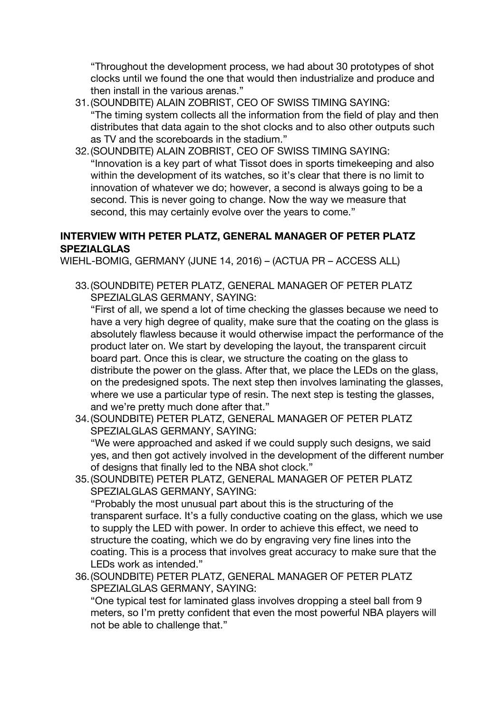"Throughout the development process, we had about 30 prototypes of shot clocks until we found the one that would then industrialize and produce and then install in the various arenas."

- 31.(SOUNDBITE) ALAIN ZOBRIST, CEO OF SWISS TIMING SAYING: "The timing system collects all the information from the field of play and then distributes that data again to the shot clocks and to also other outputs such as TV and the scoreboards in the stadium."
- 32.(SOUNDBITE) ALAIN ZOBRIST, CEO OF SWISS TIMING SAYING: "Innovation is a key part of what Tissot does in sports timekeeping and also within the development of its watches, so it's clear that there is no limit to innovation of whatever we do; however, a second is always going to be a second. This is never going to change. Now the way we measure that second, this may certainly evolve over the years to come."

## **INTERVIEW WITH PETER PLATZ, GENERAL MANAGER OF PETER PLATZ SPEZIALGLAS**

WIEHL-BOMIG, GERMANY (JUNE 14, 2016) – (ACTUA PR – ACCESS ALL)

33.(SOUNDBITE) PETER PLATZ, GENERAL MANAGER OF PETER PLATZ SPEZIALGLAS GERMANY, SAYING:

"First of all, we spend a lot of time checking the glasses because we need to have a very high degree of quality, make sure that the coating on the glass is absolutely flawless because it would otherwise impact the performance of the product later on. We start by developing the layout, the transparent circuit board part. Once this is clear, we structure the coating on the glass to distribute the power on the glass. After that, we place the LEDs on the glass, on the predesigned spots. The next step then involves laminating the glasses, where we use a particular type of resin. The next step is testing the glasses, and we're pretty much done after that."

- 34.(SOUNDBITE) PETER PLATZ, GENERAL MANAGER OF PETER PLATZ SPEZIALGLAS GERMANY, SAYING: "We were approached and asked if we could supply such designs, we said yes, and then got actively involved in the development of the different number of designs that finally led to the NBA shot clock."
- 35.(SOUNDBITE) PETER PLATZ, GENERAL MANAGER OF PETER PLATZ SPEZIALGLAS GERMANY, SAYING:

"Probably the most unusual part about this is the structuring of the transparent surface. It's a fully conductive coating on the glass, which we use to supply the LED with power. In order to achieve this effect, we need to structure the coating, which we do by engraving very fine lines into the coating. This is a process that involves great accuracy to make sure that the LEDs work as intended."

36.(SOUNDBITE) PETER PLATZ, GENERAL MANAGER OF PETER PLATZ SPEZIALGLAS GERMANY, SAYING:

"One typical test for laminated glass involves dropping a steel ball from 9 meters, so I'm pretty confident that even the most powerful NBA players will not be able to challenge that."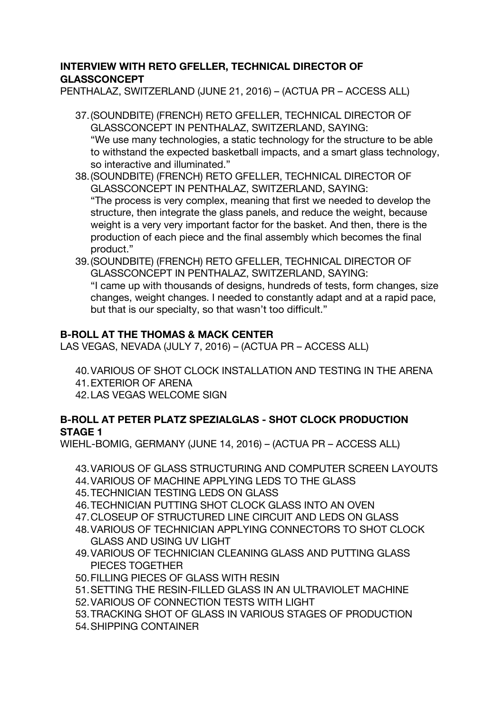#### **INTERVIEW WITH RETO GFELLER, TECHNICAL DIRECTOR OF GLASSCONCEPT**

PENTHALAZ, SWITZERLAND (JUNE 21, 2016) – (ACTUA PR – ACCESS ALL)

- 37.(SOUNDBITE) (FRENCH) RETO GFELLER, TECHNICAL DIRECTOR OF GLASSCONCEPT IN PENTHALAZ, SWITZERLAND, SAYING: "We use many technologies, a static technology for the structure to be able to withstand the expected basketball impacts, and a smart glass technology, so interactive and illuminated."
- 38.(SOUNDBITE) (FRENCH) RETO GFELLER, TECHNICAL DIRECTOR OF GLASSCONCEPT IN PENTHALAZ, SWITZERLAND, SAYING: "The process is very complex, meaning that first we needed to develop the structure, then integrate the glass panels, and reduce the weight, because weight is a very very important factor for the basket. And then, there is the production of each piece and the final assembly which becomes the final product."
- 39.(SOUNDBITE) (FRENCH) RETO GFELLER, TECHNICAL DIRECTOR OF GLASSCONCEPT IN PENTHALAZ, SWITZERLAND, SAYING: "I came up with thousands of designs, hundreds of tests, form changes, size changes, weight changes. I needed to constantly adapt and at a rapid pace, but that is our specialty, so that wasn't too difficult."

# **B-ROLL AT THE THOMAS & MACK CENTER**

LAS VEGAS, NEVADA (JULY 7, 2016) – (ACTUA PR – ACCESS ALL)

40.VARIOUS OF SHOT CLOCK INSTALLATION AND TESTING IN THE ARENA 41.EXTERIOR OF ARENA

42.LAS VEGAS WELCOME SIGN

#### **B-ROLL AT PETER PLATZ SPEZIALGLAS - SHOT CLOCK PRODUCTION STAGE 1**

WIEHL-BOMIG, GERMANY (JUNE 14, 2016) – (ACTUA PR – ACCESS ALL)

- 43.VARIOUS OF GLASS STRUCTURING AND COMPUTER SCREEN LAYOUTS
- 44.VARIOUS OF MACHINE APPLYING LEDS TO THE GLASS
- 45.TECHNICIAN TESTING LEDS ON GLASS
- 46.TECHNICIAN PUTTING SHOT CLOCK GLASS INTO AN OVEN
- 47.CLOSEUP OF STRUCTURED LINE CIRCUIT AND LEDS ON GLASS
- 48.VARIOUS OF TECHNICIAN APPLYING CONNECTORS TO SHOT CLOCK GLASS AND USING UV LIGHT
- 49.VARIOUS OF TECHNICIAN CLEANING GLASS AND PUTTING GLASS PIECES TOGETHER
- 50.FILLING PIECES OF GLASS WITH RESIN
- 51.SETTING THE RESIN-FILLED GLASS IN AN ULTRAVIOLET MACHINE
- 52.VARIOUS OF CONNECTION TESTS WITH LIGHT
- 53.TRACKING SHOT OF GLASS IN VARIOUS STAGES OF PRODUCTION
- 54.SHIPPING CONTAINER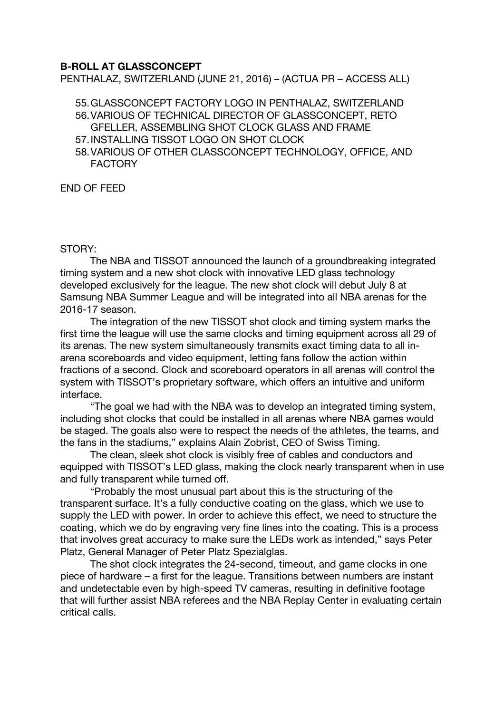#### **B-ROLL AT GLASSCONCEPT**

PENTHALAZ, SWITZERLAND (JUNE 21, 2016) – (ACTUA PR – ACCESS ALL)

55.GLASSCONCEPT FACTORY LOGO IN PENTHALAZ, SWITZERLAND

- 56.VARIOUS OF TECHNICAL DIRECTOR OF GLASSCONCEPT, RETO GFELLER, ASSEMBLING SHOT CLOCK GLASS AND FRAME
- 57.INSTALLING TISSOT LOGO ON SHOT CLOCK
- 58.VARIOUS OF OTHER CLASSCONCEPT TECHNOLOGY, OFFICE, AND FACTORY

END OF FEED

#### STORY:

The NBA and TISSOT announced the launch of a groundbreaking integrated timing system and a new shot clock with innovative LED glass technology developed exclusively for the league. The new shot clock will debut July 8 at Samsung NBA Summer League and will be integrated into all NBA arenas for the 2016-17 season.

The integration of the new TISSOT shot clock and timing system marks the first time the league will use the same clocks and timing equipment across all 29 of its arenas. The new system simultaneously transmits exact timing data to all inarena scoreboards and video equipment, letting fans follow the action within fractions of a second. Clock and scoreboard operators in all arenas will control the system with TISSOT's proprietary software, which offers an intuitive and uniform interface.

"The goal we had with the NBA was to develop an integrated timing system, including shot clocks that could be installed in all arenas where NBA games would be staged. The goals also were to respect the needs of the athletes, the teams, and the fans in the stadiums," explains Alain Zobrist, CEO of Swiss Timing.

The clean, sleek shot clock is visibly free of cables and conductors and equipped with TISSOT's LED glass, making the clock nearly transparent when in use and fully transparent while turned off.

"Probably the most unusual part about this is the structuring of the transparent surface. It's a fully conductive coating on the glass, which we use to supply the LED with power. In order to achieve this effect, we need to structure the coating, which we do by engraving very fine lines into the coating. This is a process that involves great accuracy to make sure the LEDs work as intended," says Peter Platz, General Manager of Peter Platz Spezialglas.

The shot clock integrates the 24-second, timeout, and game clocks in one piece of hardware – a first for the league. Transitions between numbers are instant and undetectable even by high-speed TV cameras, resulting in definitive footage that will further assist NBA referees and the NBA Replay Center in evaluating certain critical calls.